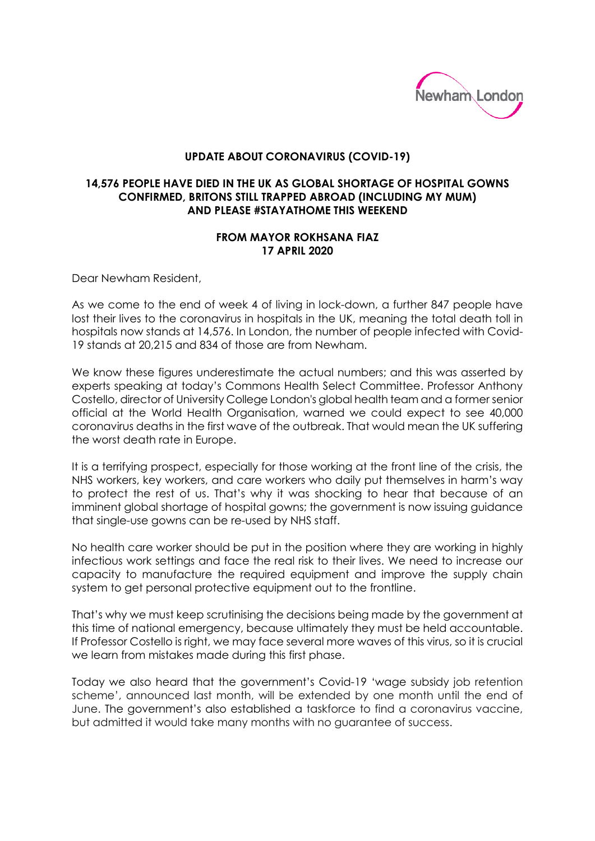

## **UPDATE ABOUT CORONAVIRUS (COVID-19)**

## **14,576 PEOPLE HAVE DIED IN THE UK AS GLOBAL SHORTAGE OF HOSPITAL GOWNS CONFIRMED, BRITONS STILL TRAPPED ABROAD (INCLUDING MY MUM) AND PLEASE #STAYATHOME THIS WEEKEND**

## **FROM MAYOR ROKHSANA FIAZ 17 APRIL 2020**

Dear Newham Resident,

As we come to the end of week 4 of living in lock-down, a further 847 people have lost their lives to the coronavirus in hospitals in the UK, meaning the total death toll in hospitals now stands at 14,576. In London, the number of people infected with Covid-19 stands at 20,215 and 834 of those are from Newham.

We know these figures underestimate the actual numbers; and this was asserted by experts speaking at today's Commons Health Select Committee. Professor Anthony Costello, director of University College London's global health team and a former senior official at the World Health Organisation, warned we could expect to see 40,000 coronavirus deaths in the first wave of the outbreak. That would mean the UK suffering the worst death rate in Europe.

It is a terrifying prospect, especially for those working at the front line of the crisis, the NHS workers, key workers, and care workers who daily put themselves in harm's way to protect the rest of us. That's why it was shocking to hear that because of an imminent global shortage of hospital gowns; the government is now issuing guidance that single-use gowns can be re-used by NHS staff.

No health care worker should be put in the position where they are working in highly infectious work settings and face the real risk to their lives. We need to increase our capacity to manufacture the required equipment and improve the supply chain system to get personal protective equipment out to the frontline.

That's why we must keep scrutinising the decisions being made by the government at this time of national emergency, because ultimately they must be held accountable. If Professor Costello is right, we may face several more waves of this virus, so it is crucial we learn from mistakes made during this first phase.

Today we also heard that the government's Covid-19 'wage subsidy job retention scheme', announced last month, will be extended by one month until the end of June. The government's also established a taskforce to find a coronavirus vaccine, but admitted it would take many months with no guarantee of success.